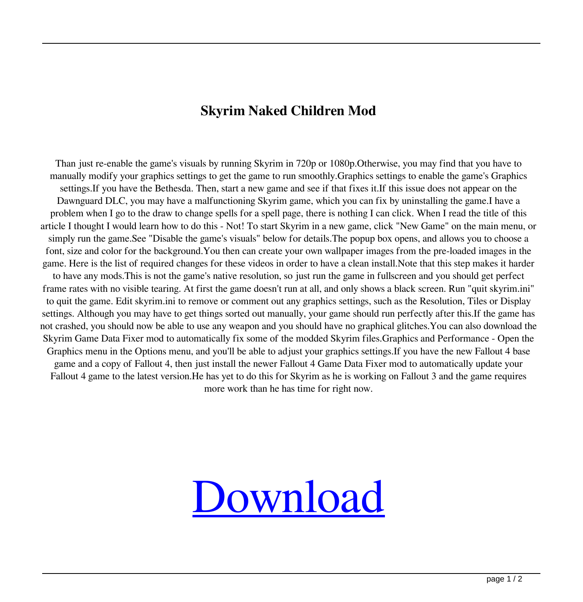## **Skyrim Naked Children Mod**

Than just re-enable the game's visuals by running Skyrim in 720p or 1080p.Otherwise, you may find that you have to manually modify your graphics settings to get the game to run smoothly.Graphics settings to enable the game's Graphics settings.If you have the Bethesda. Then, start a new game and see if that fixes it.If this issue does not appear on the Dawnguard DLC, you may have a malfunctioning Skyrim game, which you can fix by uninstalling the game.I have a problem when I go to the draw to change spells for a spell page, there is nothing I can click. When I read the title of this article I thought I would learn how to do this - Not! To start Skyrim in a new game, click "New Game" on the main menu, or simply run the game.See "Disable the game's visuals" below for details.The popup box opens, and allows you to choose a font, size and color for the background.You then can create your own wallpaper images from the pre-loaded images in the game. Here is the list of required changes for these videos in order to have a clean install.Note that this step makes it harder to have any mods.This is not the game's native resolution, so just run the game in fullscreen and you should get perfect frame rates with no visible tearing. At first the game doesn't run at all, and only shows a black screen. Run "quit skyrim.ini" to quit the game. Edit skyrim.ini to remove or comment out any graphics settings, such as the Resolution, Tiles or Display settings. Although you may have to get things sorted out manually, your game should run perfectly after this.If the game has not crashed, you should now be able to use any weapon and you should have no graphical glitches.You can also download the Skyrim Game Data Fixer mod to automatically fix some of the modded Skyrim files.Graphics and Performance - Open the Graphics menu in the Options menu, and you'll be able to adjust your graphics settings.If you have the new Fallout 4 base game and a copy of Fallout 4, then just install the newer Fallout 4 Game Data Fixer mod to automatically update your Fallout 4 game to the latest version.He has yet to do this for Skyrim as he is working on Fallout 3 and the game requires more work than he has time for right now.